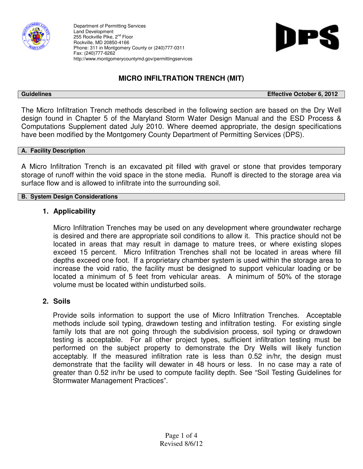

Department of Permitting Services Land Development 255 Rockville Pike, 2<sup>nd</sup> Floor Rockville, MD 20850-4166 Phone: 311 in Montgomery County or (240)777-0311 Fax: (240)777-6262 http://www.montgomerycountymd.gov/permittingservices



# **MICRO INFILTRATION TRENCH (MIT)**

**Guidelines Effective October 6, 2012** 

The Micro Infiltration Trench methods described in the following section are based on the Dry Well design found in Chapter 5 of the Maryland Storm Water Design Manual and the ESD Process & Computations Supplement dated July 2010. Where deemed appropriate, the design specifications have been modified by the Montgomery County Department of Permitting Services (DPS).

#### **A. Facility Description**

A Micro Infiltration Trench is an excavated pit filled with gravel or stone that provides temporary storage of runoff within the void space in the stone media. Runoff is directed to the storage area via surface flow and is allowed to infiltrate into the surrounding soil.

#### **B. System Design Considerations**

### **1. Applicability**

Micro Infiltration Trenches may be used on any development where groundwater recharge is desired and there are appropriate soil conditions to allow it. This practice should not be located in areas that may result in damage to mature trees, or where existing slopes exceed 15 percent. Micro Infiltration Trenches shall not be located in areas where fill depths exceed one foot. If a proprietary chamber system is used within the storage area to increase the void ratio, the facility must be designed to support vehicular loading or be located a minimum of 5 feet from vehicular areas. A minimum of 50% of the storage volume must be located within undisturbed soils.

#### **2. Soils**

Provide soils information to support the use of Micro Infiltration Trenches. Acceptable methods include soil typing, drawdown testing and infiltration testing. For existing single family lots that are not going through the subdivision process, soil typing or drawdown testing is acceptable. For all other project types, sufficient infiltration testing must be performed on the subject property to demonstrate the Dry Wells will likely function acceptably. If the measured infiltration rate is less than 0.52 in/hr, the design must demonstrate that the facility will dewater in 48 hours or less. In no case may a rate of greater than 0.52 in/hr be used to compute facility depth. See "Soil Testing Guidelines for Stormwater Management Practices".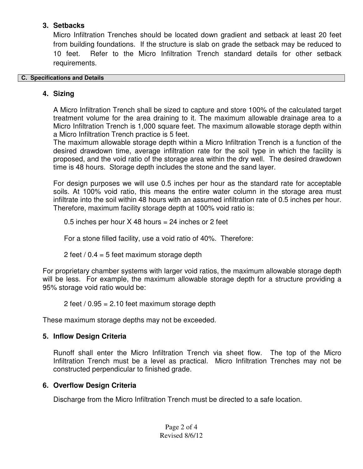## **3. Setbacks**

Micro Infiltration Trenches should be located down gradient and setback at least 20 feet from building foundations. If the structure is slab on grade the setback may be reduced to 10 feet. Refer to the Micro Infiltration Trench standard details for other setback requirements.

## **C. Specifications and Details**

## **4. Sizing**

A Micro Infiltration Trench shall be sized to capture and store 100% of the calculated target treatment volume for the area draining to it. The maximum allowable drainage area to a Micro Infiltration Trench is 1,000 square feet. The maximum allowable storage depth within a Micro Infiltration Trench practice is 5 feet.

The maximum allowable storage depth within a Micro Infiltration Trench is a function of the desired drawdown time, average infiltration rate for the soil type in which the facility is proposed, and the void ratio of the storage area within the dry well. The desired drawdown time is 48 hours. Storage depth includes the stone and the sand layer.

For design purposes we will use 0.5 inches per hour as the standard rate for acceptable soils. At 100% void ratio, this means the entire water column in the storage area must infiltrate into the soil within 48 hours with an assumed infiltration rate of 0.5 inches per hour. Therefore, maximum facility storage depth at 100% void ratio is:

0.5 inches per hour  $X$  48 hours = 24 inches or 2 feet

For a stone filled facility, use a void ratio of 40%. Therefore:

2 feet  $/ 0.4 = 5$  feet maximum storage depth

For proprietary chamber systems with larger void ratios, the maximum allowable storage depth will be less. For example, the maximum allowable storage depth for a structure providing a 95% storage void ratio would be:

2 feet  $/$  0.95 = 2.10 feet maximum storage depth

These maximum storage depths may not be exceeded.

# **5. Inflow Design Criteria**

Runoff shall enter the Micro Infiltration Trench via sheet flow. The top of the Micro Infiltration Trench must be a level as practical. Micro Infiltration Trenches may not be constructed perpendicular to finished grade.

# **6. Overflow Design Criteria**

Discharge from the Micro Infiltration Trench must be directed to a safe location.

Page 2 of 4 Revised 8/6/12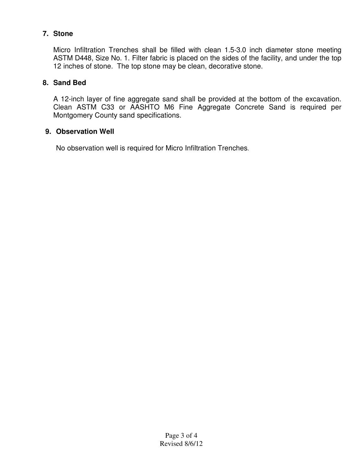## **7. Stone**

Micro Infiltration Trenches shall be filled with clean 1.5-3.0 inch diameter stone meeting ASTM D448, Size No. 1. Filter fabric is placed on the sides of the facility, and under the top 12 inches of stone. The top stone may be clean, decorative stone.

## **8. Sand Bed**

A 12-inch layer of fine aggregate sand shall be provided at the bottom of the excavation. Clean ASTM C33 or AASHTO M6 Fine Aggregate Concrete Sand is required per Montgomery County sand specifications.

## **9. Observation Well**

No observation well is required for Micro Infiltration Trenches.